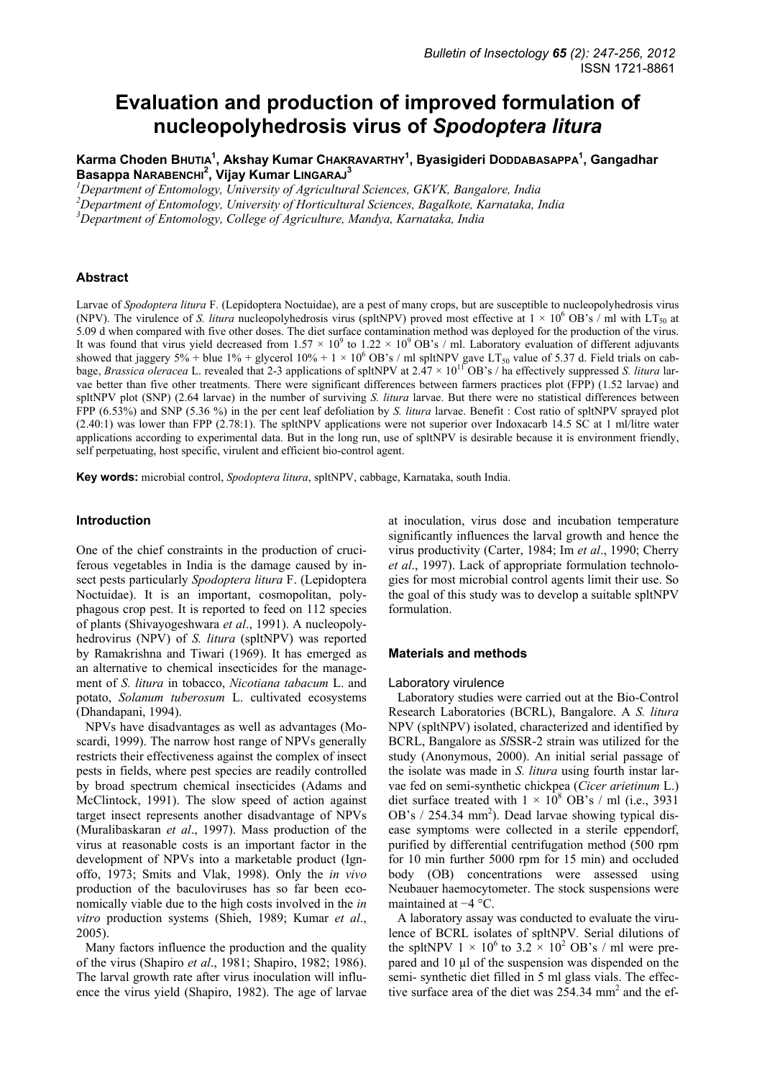# **Evaluation and production of improved formulation of nucleopolyhedrosis virus of** *Spodoptera litura*

**Karma Choden BHUTIA1 , Akshay Kumar CHAKRAVARTHY<sup>1</sup> , Byasigideri DODDABASAPPA1 , Gangadhar Basappa NARABENCHI<sup>2</sup> , Vijay Kumar LINGARAJ<sup>3</sup>**

*1 Department of Entomology, University of Agricultural Sciences, GKVK, Bangalore, India* 

*2 Department of Entomology, University of Horticultural Sciences, Bagalkote, Karnataka, India* 

*3 Department of Entomology, College of Agriculture, Mandya, Karnataka, India* 

## **Abstract**

Larvae of *Spodoptera litura* F. (Lepidoptera Noctuidae), are a pest of many crops, but are susceptible to nucleopolyhedrosis virus (NPV). The virulence of *S. litura* nucleopolyhedrosis virus (spltNPV) proved most effective at  $1 \times 10^6$  OB's / ml with LT<sub>50</sub> at 5.09 d when compared with five other doses. The diet surface contamination method was deployed for the production of the virus. It was found that virus yield decreased from  $1.57 \times 10^9$  to  $1.22 \times 10^9$  OB's / ml. Laboratory evaluation of different adjuvants showed that jaggery  $5\%$  + blue  $1\%$  + glycerol  $10\%$  + 1 × 10<sup>6</sup> OB's / ml spltNPV gave LT<sub>50</sub> value of 5.37 d. Field trials on cabbage, *Brassica oleracea* L. revealed that 2-3 applications of spltNPV at 2.47 × 1011 OB's / ha effectively suppressed *S. litura* larvae better than five other treatments. There were significant differences between farmers practices plot (FPP) (1.52 larvae) and spltNPV plot (SNP) (2.64 larvae) in the number of surviving *S. litura* larvae. But there were no statistical differences between FPP (6.53%) and SNP (5.36 %) in the per cent leaf defoliation by *S. litura* larvae. Benefit : Cost ratio of spltNPV sprayed plot (2.40:1) was lower than FPP (2.78:1). The spltNPV applications were not superior over Indoxacarb 14.5 SC at 1 ml/litre water applications according to experimental data. But in the long run, use of spltNPV is desirable because it is environment friendly, self perpetuating, host specific, virulent and efficient bio-control agent.

**Key words:** microbial control, *Spodoptera litura*, spltNPV, cabbage, Karnataka, south India.

#### **Introduction**

One of the chief constraints in the production of cruciferous vegetables in India is the damage caused by insect pests particularly *Spodoptera litura* F. (Lepidoptera Noctuidae). It is an important, cosmopolitan, polyphagous crop pest. It is reported to feed on 112 species of plants (Shivayogeshwara *et al*., 1991). A nucleopolyhedrovirus (NPV) of *S. litura* (spltNPV) was reported by Ramakrishna and Tiwari (1969). It has emerged as an alternative to chemical insecticides for the management of *S. litura* in tobacco, *Nicotiana tabacum* L. and potato, *Solanum tuberosum* L. cultivated ecosystems (Dhandapani, 1994).

NPVs have disadvantages as well as advantages (Moscardi, 1999). The narrow host range of NPVs generally restricts their effectiveness against the complex of insect pests in fields, where pest species are readily controlled by broad spectrum chemical insecticides (Adams and McClintock, 1991). The slow speed of action against target insect represents another disadvantage of NPVs (Muralibaskaran *et al*., 1997). Mass production of the virus at reasonable costs is an important factor in the development of NPVs into a marketable product (Ignoffo, 1973; Smits and Vlak, 1998). Only the *in vivo* production of the baculoviruses has so far been economically viable due to the high costs involved in the *in vitro* production systems (Shieh, 1989; Kumar *et al*., 2005).

Many factors influence the production and the quality of the virus (Shapiro *et al*., 1981; Shapiro, 1982; 1986). The larval growth rate after virus inoculation will influence the virus yield (Shapiro, 1982). The age of larvae at inoculation, virus dose and incubation temperature significantly influences the larval growth and hence the virus productivity (Carter, 1984; Im *et al*., 1990; Cherry *et al*., 1997). Lack of appropriate formulation technologies for most microbial control agents limit their use. So the goal of this study was to develop a suitable spltNPV formulation.

#### **Materials and methods**

### Laboratory virulence

Laboratory studies were carried out at the Bio-Control Research Laboratories (BCRL), Bangalore. A *S. litura* NPV (spltNPV) isolated, characterized and identified by BCRL, Bangalore as *Sl*SSR-2 strain was utilized for the study (Anonymous, 2000). An initial serial passage of the isolate was made in *S. litura* using fourth instar larvae fed on semi-synthetic chickpea (*Cicer arietinum* L.) diet surface treated with  $1 \times 10^8$  OB's / ml (i.e., 3931) OB's / 254.34 mm<sup>2</sup>). Dead larvae showing typical disease symptoms were collected in a sterile eppendorf, purified by differential centrifugation method (500 rpm for 10 min further 5000 rpm for 15 min) and occluded body (OB) concentrations were assessed using Neubauer haemocytometer. The stock suspensions were maintained at −4 °C.

A laboratory assay was conducted to evaluate the virulence of BCRL isolates of spltNPV*.* Serial dilutions of the spltNPV  $1 \times 10^6$  to  $3.2 \times 10^2$  OB's / ml were prepared and 10 µl of the suspension was dispended on the semi- synthetic diet filled in 5 ml glass vials. The effective surface area of the diet was  $254.34$  mm<sup>2</sup> and the ef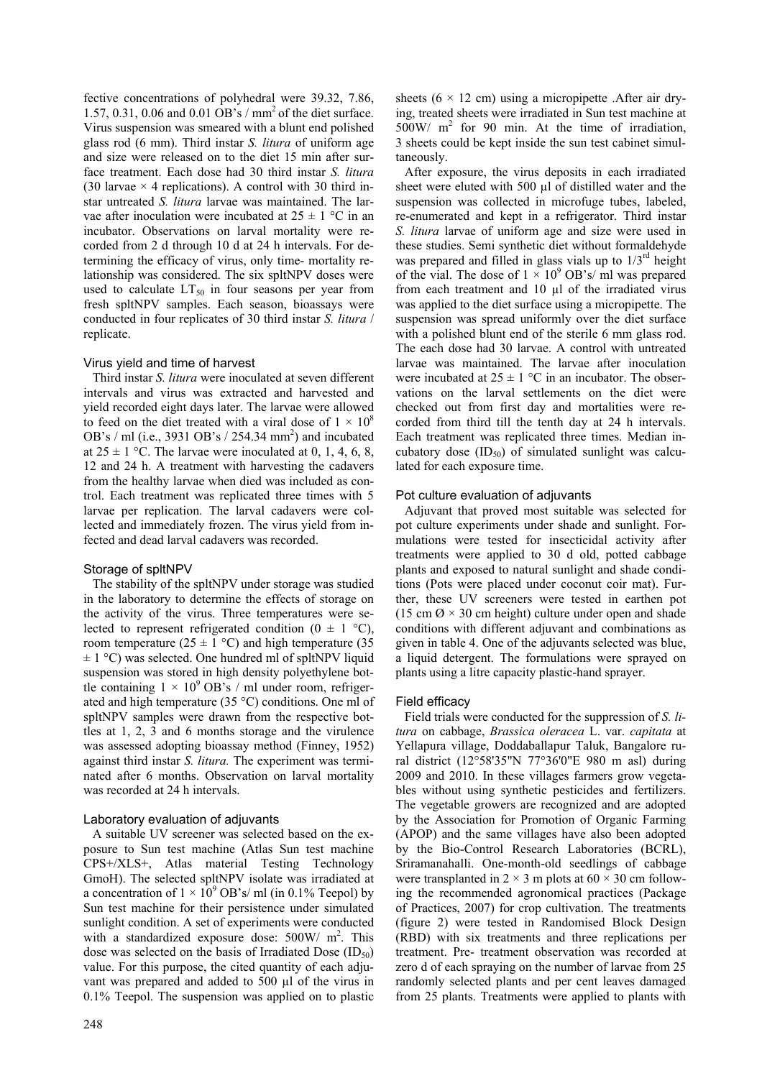fective concentrations of polyhedral were 39.32, 7.86, 1.57, 0.31, 0.06 and 0.01 OB's / mm2 of the diet surface. Virus suspension was smeared with a blunt end polished glass rod (6 mm). Third instar *S. litura* of uniform age and size were released on to the diet 15 min after surface treatment. Each dose had 30 third instar *S. litura* (30 larvae  $\times$  4 replications). A control with 30 third instar untreated *S. litura* larvae was maintained. The larvae after inoculation were incubated at  $25 \pm 1$  °C in an incubator. Observations on larval mortality were recorded from 2 d through 10 d at 24 h intervals. For determining the efficacy of virus, only time- mortality relationship was considered. The six spltNPV doses were used to calculate  $LT_{50}$  in four seasons per year from fresh spltNPV samples. Each season, bioassays were conducted in four replicates of 30 third instar *S. litura* / replicate.

## Virus yield and time of harvest

Third instar *S. litura* were inoculated at seven different intervals and virus was extracted and harvested and yield recorded eight days later. The larvae were allowed to feed on the diet treated with a viral dose of  $1 \times 10^8$ OB's / ml (i.e., 3931 OB's / 254.34 mm<sup>2</sup>) and incubated at  $25 \pm 1$  °C. The larvae were inoculated at 0, 1, 4, 6, 8, 12 and 24 h. A treatment with harvesting the cadavers from the healthy larvae when died was included as control. Each treatment was replicated three times with 5 larvae per replication. The larval cadavers were collected and immediately frozen. The virus yield from infected and dead larval cadavers was recorded.

# Storage of spltNPV

The stability of the spltNPV under storage was studied in the laboratory to determine the effects of storage on the activity of the virus. Three temperatures were selected to represent refrigerated condition  $(0 \pm 1 \degree C)$ , room temperature (25  $\pm$  1 °C) and high temperature (35  $\pm$  1 °C) was selected. One hundred ml of spltNPV liquid suspension was stored in high density polyethylene bottle containing  $1 \times 10^9$  OB's / ml under room, refrigerated and high temperature (35 °C) conditions. One ml of spltNPV samples were drawn from the respective bottles at 1, 2, 3 and 6 months storage and the virulence was assessed adopting bioassay method (Finney, 1952) against third instar *S. litura.* The experiment was terminated after 6 months. Observation on larval mortality was recorded at 24 h intervals.

# Laboratory evaluation of adjuvants

A suitable UV screener was selected based on the exposure to Sun test machine (Atlas Sun test machine CPS+/XLS+, Atlas material Testing Technology GmoH). The selected spltNPV isolate was irradiated at a concentration of  $1 \times 10^9$  OB's/ ml (in 0.1% Teepol) by Sun test machine for their persistence under simulated sunlight condition. A set of experiments were conducted with a standardized exposure dose:  $500W/m^2$ . This dose was selected on the basis of Irradiated Dose  $(ID_{50})$ value. For this purpose, the cited quantity of each adjuvant was prepared and added to 500 µl of the virus in 0.1% Teepol. The suspension was applied on to plastic

sheets  $(6 \times 12 \text{ cm})$  using a micropipette . After air drying, treated sheets were irradiated in Sun test machine at  $500W/m<sup>2</sup>$  for 90 min. At the time of irradiation, 3 sheets could be kept inside the sun test cabinet simultaneously.

After exposure, the virus deposits in each irradiated sheet were eluted with 500 µl of distilled water and the suspension was collected in microfuge tubes, labeled, re-enumerated and kept in a refrigerator. Third instar *S. litura* larvae of uniform age and size were used in these studies. Semi synthetic diet without formaldehyde was prepared and filled in glass vials up to  $1/3^{rd}$  height of the vial. The dose of  $1 \times 10^9$  OB's/ ml was prepared from each treatment and 10 µl of the irradiated virus was applied to the diet surface using a micropipette. The suspension was spread uniformly over the diet surface with a polished blunt end of the sterile 6 mm glass rod. The each dose had 30 larvae. A control with untreated larvae was maintained. The larvae after inoculation were incubated at  $25 \pm 1$  °C in an incubator. The observations on the larval settlements on the diet were checked out from first day and mortalities were recorded from third till the tenth day at 24 h intervals. Each treatment was replicated three times. Median incubatory dose  $(ID_{50})$  of simulated sunlight was calculated for each exposure time.

# Pot culture evaluation of adjuvants

Adjuvant that proved most suitable was selected for pot culture experiments under shade and sunlight. Formulations were tested for insecticidal activity after treatments were applied to 30 d old, potted cabbage plants and exposed to natural sunlight and shade conditions (Pots were placed under coconut coir mat). Further, these UV screeners were tested in earthen pot (15 cm  $\varnothing \times 30$  cm height) culture under open and shade conditions with different adjuvant and combinations as given in table 4. One of the adjuvants selected was blue, a liquid detergent. The formulations were sprayed on plants using a litre capacity plastic-hand sprayer.

## Field efficacy

Field trials were conducted for the suppression of *S. litura* on cabbage, *Brassica oleracea* L. var. *capitata* at Yellapura village, Doddaballapur Taluk, Bangalore rural district (12°58'35"N 77°36'0"E 980 m asl) during 2009 and 2010. In these villages farmers grow vegetables without using synthetic pesticides and fertilizers. The vegetable growers are recognized and are adopted by the Association for Promotion of Organic Farming (APOP) and the same villages have also been adopted by the Bio-Control Research Laboratories (BCRL), Sriramanahalli. One-month-old seedlings of cabbage were transplanted in  $2 \times 3$  m plots at  $60 \times 30$  cm following the recommended agronomical practices (Package of Practices, 2007) for crop cultivation. The treatments (figure 2) were tested in Randomised Block Design (RBD) with six treatments and three replications per treatment. Pre- treatment observation was recorded at zero d of each spraying on the number of larvae from 25 randomly selected plants and per cent leaves damaged from 25 plants. Treatments were applied to plants with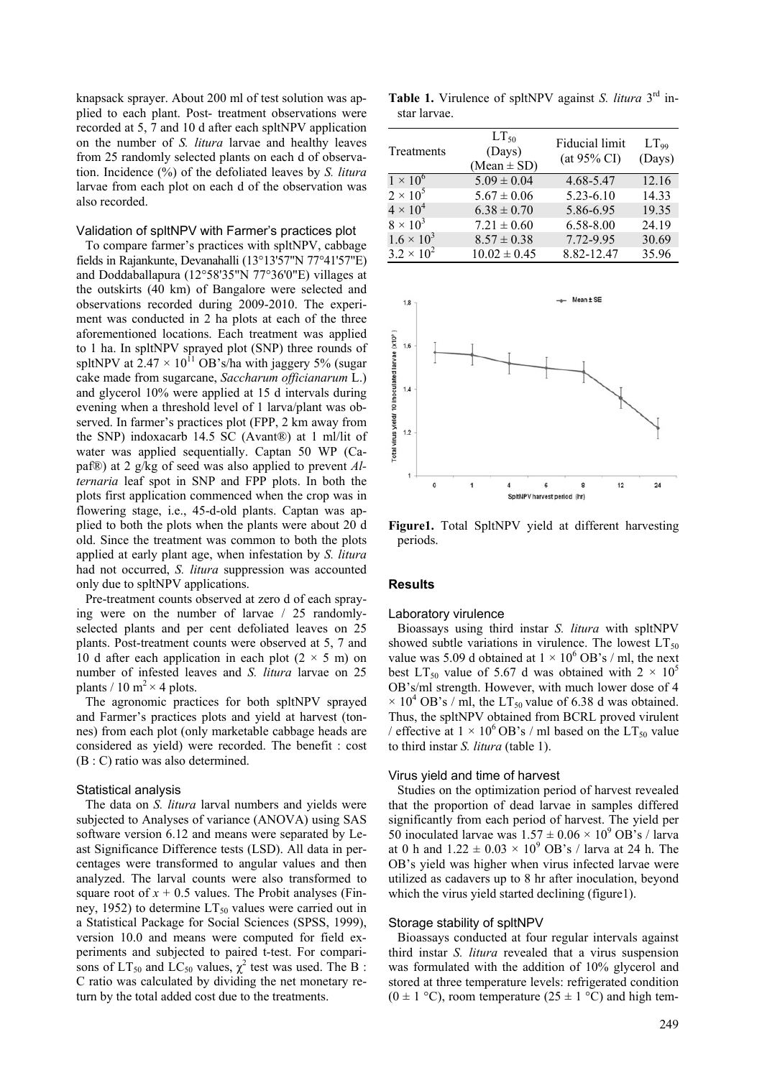knapsack sprayer. About 200 ml of test solution was applied to each plant. Post- treatment observations were recorded at 5, 7 and 10 d after each spltNPV application on the number of *S. litura* larvae and healthy leaves from 25 randomly selected plants on each d of observation. Incidence (%) of the defoliated leaves by *S. litura* larvae from each plot on each d of the observation was also recorded.

## Validation of spltNPV with Farmer's practices plot

To compare farmer's practices with spltNPV, cabbage fields in Rajankunte, Devanahalli (13°13'57"N 77°41'57"E) and Doddaballapura (12°58'35"N 77°36'0"E) villages at the outskirts (40 km) of Bangalore were selected and observations recorded during 2009-2010. The experiment was conducted in 2 ha plots at each of the three aforementioned locations. Each treatment was applied to 1 ha. In spltNPV sprayed plot (SNP) three rounds of spltNPV at  $2.47 \times 10^{11}$  OB's/ha with jaggery 5% (sugar cake made from sugarcane, *Saccharum officianarum* L.) and glycerol 10% were applied at 15 d intervals during evening when a threshold level of 1 larva/plant was observed. In farmer's practices plot (FPP, 2 km away from the SNP) indoxacarb 14.5 SC (Avant®) at 1 ml/lit of water was applied sequentially. Captan 50 WP (Capaf®) at 2 g/kg of seed was also applied to prevent *Alternaria* leaf spot in SNP and FPP plots. In both the plots first application commenced when the crop was in flowering stage, i.e., 45-d-old plants. Captan was applied to both the plots when the plants were about 20 d old. Since the treatment was common to both the plots applied at early plant age, when infestation by *S. litura* had not occurred, *S. litura* suppression was accounted only due to spltNPV applications.

Pre-treatment counts observed at zero d of each spraying were on the number of larvae / 25 randomlyselected plants and per cent defoliated leaves on 25 plants. Post-treatment counts were observed at 5, 7 and 10 d after each application in each plot  $(2 \times 5 \text{ m})$  on number of infested leaves and *S. litura* larvae on 25 plants / 10 m<sup>2</sup>  $\times$  4 plots.

The agronomic practices for both spltNPV sprayed and Farmer's practices plots and yield at harvest (tonnes) from each plot (only marketable cabbage heads are considered as yield) were recorded. The benefit : cost (B : C) ratio was also determined.

## Statistical analysis

The data on *S. litura* larval numbers and yields were subjected to Analyses of variance (ANOVA) using SAS software version 6.12 and means were separated by Least Significance Difference tests (LSD). All data in percentages were transformed to angular values and then analyzed. The larval counts were also transformed to square root of  $x + 0.5$  values. The Probit analyses (Finney, 1952) to determine  $LT_{50}$  values were carried out in a Statistical Package for Social Sciences (SPSS, 1999), version 10.0 and means were computed for field experiments and subjected to paired t-test. For comparisons of  $LT_{50}$  and  $LC_{50}$  values,  $\chi^2$  test was used. The B : C ratio was calculated by dividing the net monetary return by the total added cost due to the treatments.

**Table 1.** Virulence of spltNPV against *S. litura* 3rd instar larvae.

| Treatments          | $LT_{50}$<br>(Days)<br>$(Mean \pm SD)$ | Fiducial limit<br>$(at 95\% CI)$ | $LT_{99}$<br>(Days) |
|---------------------|----------------------------------------|----------------------------------|---------------------|
| $1 \times 10^6$     | $5.09 \pm 0.04$                        | 4.68-5.47                        | 12.16               |
| $2 \times 10^5$     | $5.67 \pm 0.06$                        | $5.23 - 6.10$                    | 14.33               |
| $4 \times 10^4$     | $6.38 \pm 0.70$                        | 5.86-6.95                        | 19.35               |
| $8 \times 10^3$     | $7.21 \pm 0.60$                        | 6.58-8.00                        | 24.19               |
| $1.6 \times 10^{3}$ | $8.57 \pm 0.38$                        | 7.72-9.95                        | 30.69               |
| $3.2 \times 10^{2}$ | $10.02 \pm 0.45$                       | 8.82-12.47                       | 35.96               |



**Figure1.** Total SpltNPV yield at different harvesting periods.

#### **Results**

#### Laboratory virulence

Bioassays using third instar *S. litura* with spltNPV showed subtle variations in virulence. The lowest  $LT_{50}$ value was 5.09 d obtained at  $1 \times 10^6$  OB's / ml, the next best LT<sub>50</sub> value of 5.67 d was obtained with  $2 \times 10^5$ OB's/ml strength. However, with much lower dose of 4  $\times$  10<sup>4</sup> OB's / ml, the LT<sub>50</sub> value of 6.38 d was obtained. Thus, the spltNPV obtained from BCRL proved virulent / effective at  $1 \times 10^{6}$  OB's / ml based on the LT<sub>50</sub> value to third instar *S. litura* (table 1).

## Virus yield and time of harvest

Studies on the optimization period of harvest revealed that the proportion of dead larvae in samples differed significantly from each period of harvest. The yield per 50 inoculated larvae was  $1.57 \pm 0.06 \times 10^9$  OB's / larva at 0 h and  $1.22 \pm 0.03 \times 10^9$  OB's / larva at 24 h. The OB's yield was higher when virus infected larvae were utilized as cadavers up to 8 hr after inoculation, beyond which the virus yield started declining (figure1).

#### Storage stability of spltNPV

Bioassays conducted at four regular intervals against third instar *S. litura* revealed that a virus suspension was formulated with the addition of 10% glycerol and stored at three temperature levels: refrigerated condition  $(0 \pm 1 \degree C)$ , room temperature  $(25 \pm 1 \degree C)$  and high tem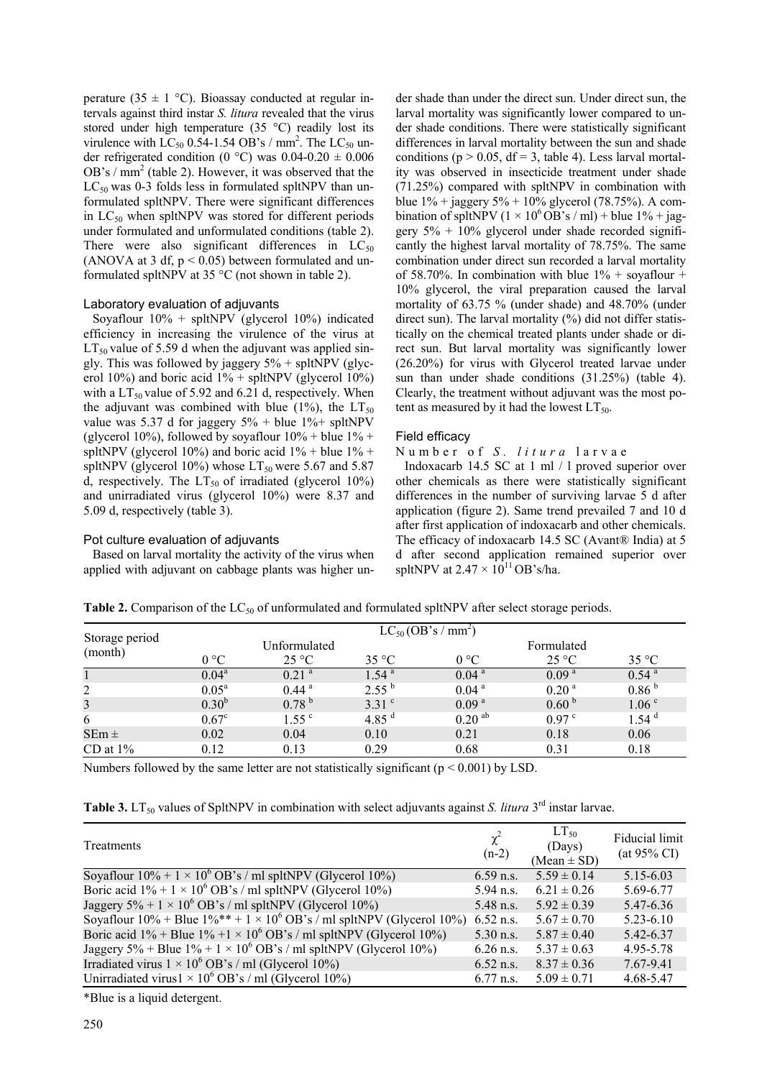perature (35  $\pm$  1 °C). Bioassay conducted at regular intervals against third instar *S. litura* revealed that the virus stored under high temperature (35 °C) readily lost its virulence with  $LC_{50}$  0.54-1.54 OB's / mm<sup>2</sup>. The  $LC_{50}$  under refrigerated condition (0 °C) was  $0.04-0.20 \pm 0.006$ OB's /  $mm<sup>2</sup>$  (table 2). However, it was observed that the  $LC_{50}$  was 0-3 folds less in formulated spltNPV than unformulated spltNPV. There were significant differences in  $LC_{50}$  when spltNPV was stored for different periods under formulated and unformulated conditions (table 2). There were also significant differences in  $LC_{50}$ (ANOVA at 3 df,  $p < 0.05$ ) between formulated and unformulated spltNPV at 35 °C (not shown in table 2).

## Laboratory evaluation of adjuvants

Soyaflour  $10\%$  + spltNPV (glycerol  $10\%$ ) indicated efficiency in increasing the virulence of the virus at  $LT_{50}$  value of 5.59 d when the adjuvant was applied singly. This was followed by jaggery  $5\%$  + spltNPV (glycerol 10%) and boric acid  $1%$  + spltNPV (glycerol 10%) with a  $LT_{50}$  value of 5.92 and 6.21 d, respectively. When the adjuvant was combined with blue (1%), the  $LT_{50}$ value was 5.37 d for jaggery  $5\%$  + blue  $1\%$ + spltNPV (glycerol 10%), followed by soyaflour  $10\%$  + blue  $1\%$  + spltNPV (glycerol 10%) and boric acid  $1\%$  + blue  $1\%$  + spltNPV (glycerol 10%) whose  $LT_{50}$  were 5.67 and 5.87 d, respectively. The  $LT_{50}$  of irradiated (glycerol 10%) and unirradiated virus (glycerol 10%) were 8.37 and 5.09 d, respectively (table 3).

# Pot culture evaluation of adjuvants

Based on larval mortality the activity of the virus when applied with adjuvant on cabbage plants was higher under shade than under the direct sun. Under direct sun, the larval mortality was significantly lower compared to under shade conditions. There were statistically significant differences in larval mortality between the sun and shade conditions ( $p > 0.05$ , df = 3, table 4). Less larval mortality was observed in insecticide treatment under shade (71.25%) compared with spltNPV in combination with blue  $1\%$  + jaggery  $5\%$  +  $10\%$  glycerol (78.75%). A combination of spltNPV ( $1 \times 10^6$  OB's / ml) + blue  $1\%$  + jaggery  $5\% + 10\%$  glycerol under shade recorded significantly the highest larval mortality of 78.75%. The same combination under direct sun recorded a larval mortality of 58.70%. In combination with blue  $1\%$  + soyaflour + 10% glycerol, the viral preparation caused the larval mortality of 63.75 % (under shade) and 48.70% (under direct sun). The larval mortality  $(\%)$  did not differ statistically on the chemical treated plants under shade or direct sun. But larval mortality was significantly lower (26.20%) for virus with Glycerol treated larvae under sun than under shade conditions (31.25%) (table 4). Clearly, the treatment without adjuvant was the most potent as measured by it had the lowest  $LT_{50}$ .

## Field efficacy

Number of *S. litura* larvae

Indoxacarb 14.5 SC at 1 ml / l proved superior over other chemicals as there were statistically significant differences in the number of surviving larvae 5 d after application (figure 2). Same trend prevailed 7 and 10 d after first application of indoxacarb and other chemicals. The efficacy of indoxacarb 14.5 SC (Avant® India) at 5 d after second application remained superior over spltNPV at  $2.47 \times 10^{11}$  OB's/ha.

| Storage period |                | $LC_{50}$ (OB's / mm <sup>2</sup> ) |                   |                      |                   |                     |  |  |
|----------------|----------------|-------------------------------------|-------------------|----------------------|-------------------|---------------------|--|--|
|                |                | Unformulated                        |                   |                      | Formulated        |                     |  |  |
| (month)        | $0^{\circ}$ C  | $25^{\circ}C$                       | $35^{\circ}$ C    | $0^{\circ}$ C        | 25 °C             | $35^{\circ}$ C      |  |  |
|                | $0.04^a$       | 0.21 <sup>a</sup>                   | 1.54 <sup>a</sup> | 0.04 <sup>a</sup>    | 0.09 <sup>a</sup> | $0.54$ <sup>a</sup> |  |  |
| 2              | $0.05^{\rm a}$ | $0.44$ <sup>a</sup>                 | $2.55^{b}$        | 0.04 <sup>a</sup>    | 0.20 <sup>a</sup> | 0.86 <sup>b</sup>   |  |  |
| 3              | $0.30^{b}$     | 0.78 <sup>b</sup>                   | $3.31$ $\degree$  | 0.09 <sup>a</sup>    | 0.60 <sup>b</sup> | 1.06 <sup>c</sup>   |  |  |
| 6              | $0.67^{\circ}$ | $1.55^{\circ}$                      | 4.85 $^{\rm d}$   | $0.20$ <sup>ab</sup> | 0.97 <sup>c</sup> | 1.54 <sup>d</sup>   |  |  |
| $SEm \pm$      | 0.02           | 0.04                                | 0.10              | 0.21                 | 0.18              | 0.06                |  |  |
| CD at $1\%$    | 0.12           | 0.13                                | 0.29              | 0.68                 | 0.31              | 0.18                |  |  |

Table 2. Comparison of the LC<sub>50</sub> of unformulated and formulated spltNPV after select storage periods.

Numbers followed by the same letter are not statistically significant ( $p \le 0.001$ ) by LSD.

|  | <b>Table 3.</b> LT <sub>50</sub> values of SpltNPV in combination with select adjuvants against <i>S. litura</i> 3 <sup>rd</sup> instar larvae. |
|--|-------------------------------------------------------------------------------------------------------------------------------------------------|
|--|-------------------------------------------------------------------------------------------------------------------------------------------------|

| Treatments                                                                                         | $\chi^2$<br>$(n-2)$ | $LT_{50}$<br>(Days)<br>$(Mean \pm SD)$ | Fiducial limit<br>$(at 95\% CI)$ |
|----------------------------------------------------------------------------------------------------|---------------------|----------------------------------------|----------------------------------|
| Soyaflour $10\% + 1 \times 10^6$ OB's / ml spltNPV (Glycerol 10%)                                  | $6.59$ n.s.         | $5.59 \pm 0.14$                        | 5.15-6.03                        |
| Boric acid $1\% + 1 \times 10^6$ OB's / ml spltNPV (Glycerol 10%)                                  | 5.94 n.s.           | $6.21 \pm 0.26$                        | 5.69-6.77                        |
| Jaggery 5% + 1 $\times$ 10 <sup>6</sup> OB's / ml spltNPV (Glycerol 10%)                           | 5.48 n.s.           | $5.92 \pm 0.39$                        | 5.47-6.36                        |
| Soyaflour $10\%$ + Blue $1\%$ <sup>**</sup> + 1 × 10 <sup>6</sup> OB's / ml spltNPV (Glycerol 10%) | $6.52$ n.s.         | $5.67 \pm 0.70$                        | $5.23 - 6.10$                    |
| Boric acid 1% + Blue 1% +1 $\times$ 10 <sup>6</sup> OB's / ml spltNPV (Glycerol 10%)               | $5.30$ n.s.         | $5.87 \pm 0.40$                        | 5.42-6.37                        |
| Jaggery 5% + Blue $1\%$ + $1 \times 10^6$ OB's / ml spltNPV (Glycerol 10%)                         | $6.26$ n.s.         | $5.37 \pm 0.63$                        | 4.95-5.78                        |
| Irradiated virus $1 \times 10^6$ OB's / ml (Glycerol 10%)                                          | $6.52$ n.s.         | $8.37 \pm 0.36$                        | 7.67-9.41                        |
| Unirradiated virus $1 \times 10^6$ OB's / ml (Glycerol 10%)                                        | $6.77$ n.s.         | $5.09 \pm 0.71$                        | 4.68-5.47                        |

\*Blue is a liquid detergent.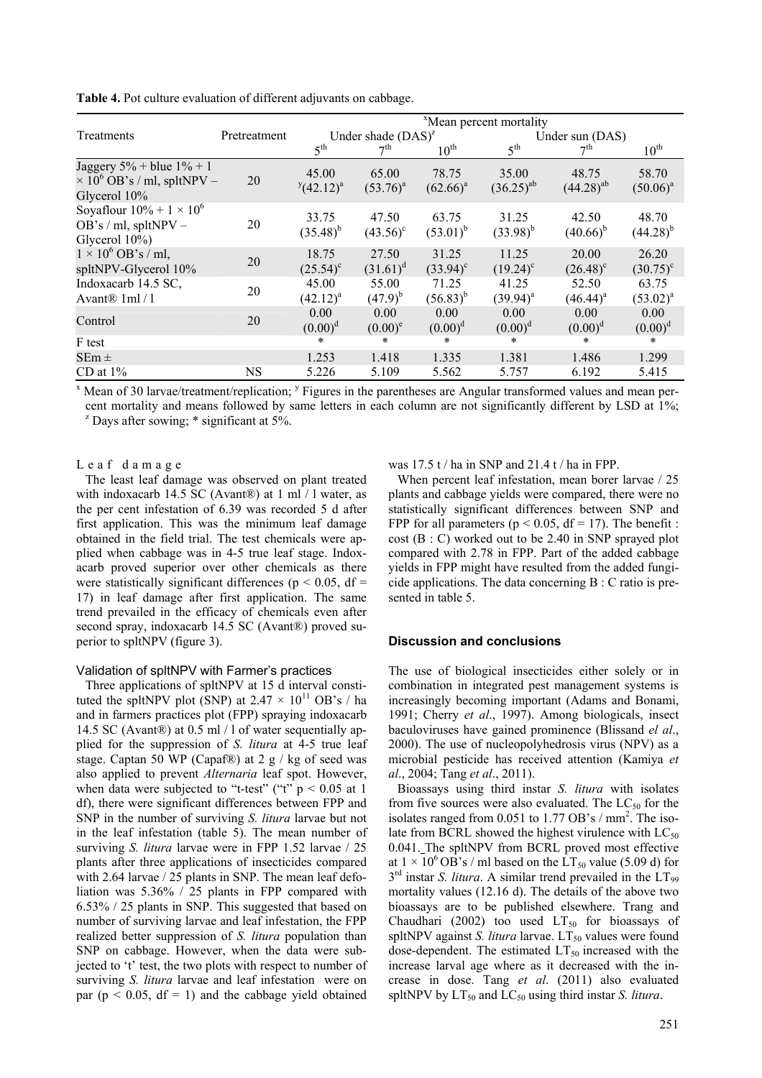**Table 4.** Pot culture evaluation of different adjuvants on cabbage.

|                                                                                                 |              | <sup>x</sup> Mean percent mortality |                            |                        |                         |                            |                            |
|-------------------------------------------------------------------------------------------------|--------------|-------------------------------------|----------------------------|------------------------|-------------------------|----------------------------|----------------------------|
| Treatments                                                                                      | Pretreatment | Under shade $(DAS)^{z}$             |                            |                        | Under sun (DAS)         |                            |                            |
|                                                                                                 |              | 5 <sup>th</sup>                     | 7 <sup>th</sup>            | $10^{\text{th}}$       | 5 <sup>th</sup>         | 7 <sup>th</sup>            | $10^{\text{th}}$           |
| Jaggery $5\%$ + blue $1\%$ + 1<br>$\times$ 10 <sup>6</sup> OB's / ml, spltNPV –<br>Glycerol 10% | 20           | 45.00<br>$y(42.12)^a$               | 65.00<br>$(53.76)^{a}$     | 78.75<br>$(62.66)^{a}$ | 35.00<br>$(36.25)^{ab}$ | 48.75<br>$(44.28)^{ab}$    | 58.70<br>$(50.06)^{a}$     |
| Soyaflour $10\% + 1 \times 10^6$<br>OB's / ml, spltNPV $-$<br>Glycerol $10\%$ )                 | 20           | 33.75<br>$(35.48)^{b}$              | 47.50<br>$(43.56)^{\circ}$ | 63.75<br>$(53.01)^{b}$ | 31.25<br>$(33.98)^{b}$  | 42.50<br>$(40.66)^{b}$     | 48.70<br>$(44.28)^{b}$     |
| $1 \times 10^6$ OB's / ml,<br>spltNPV-Glycerol 10%                                              | 20           | 18.75<br>$(25.54)^c$                | 27.50<br>$(31.61)^d$       | 31.25<br>$(33.94)^c$   | 11.25<br>$(19.24)^c$    | 20.00<br>$(26.48)^{\circ}$ | 26.20<br>$(30.75)^{\circ}$ |
| Indoxacarb 14.5 SC,<br>Avant $\mathbb{R}$ 1ml / 1                                               | 20           | 45.00<br>$(42.12)^{a}$              | 55.00<br>$(47.9)^{b}$      | 71.25<br>$(56.83)^{b}$ | 41.25<br>$(39.94)^{a}$  | 52.50<br>$(46.44)^a$       | 63.75<br>$(53.02)^{a}$     |
| Control                                                                                         | 20           | 0.00<br>$(0.00)^d$                  | 0.00<br>$(0.00)^e$         | 0.00<br>$(0.00)^d$     | 0.00<br>$(0.00)^d$      | 0.00<br>$(0.00)^d$         | 0.00<br>$(0.00)^d$         |
| F test                                                                                          |              | $\ast$                              | $\ast$                     | $\ast$                 | *                       | $\ast$                     | $\ast$                     |
| $SEm \pm$                                                                                       |              | 1.253                               | 1.418                      | 1.335                  | 1.381                   | 1.486                      | 1.299                      |
| CD at $1\%$                                                                                     | NS           | 5.226                               | 5.109                      | 5.562                  | 5.757                   | 6.192                      | 5.415                      |

 $^x$  Mean of 30 larvae/treatment/replication; <sup>y</sup> Figures in the parentheses are Angular transformed values and mean percent mortality and means followed by same letters in each column are not significantly different by LSD at 1%;  $\alpha$ <sup>z</sup> Days after sowing;  $*$  significant at 5%.

Leaf damage

The least leaf damage was observed on plant treated with indoxacarb 14.5 SC (Avant®) at 1 ml $/1$  water, as the per cent infestation of 6.39 was recorded 5 d after first application. This was the minimum leaf damage obtained in the field trial. The test chemicals were applied when cabbage was in 4-5 true leaf stage. Indoxacarb proved superior over other chemicals as there were statistically significant differences ( $p < 0.05$ , df = 17) in leaf damage after first application. The same trend prevailed in the efficacy of chemicals even after second spray, indoxacarb 14.5 SC (Avant®) proved superior to spltNPV (figure 3).

## Validation of spltNPV with Farmer's practices

Three applications of spltNPV at 15 d interval constituted the spltNPV plot (SNP) at  $2.47 \times 10^{11}$  OB's / ha and in farmers practices plot (FPP) spraying indoxacarb 14.5 SC (Avant®) at 0.5 ml / l of water sequentially applied for the suppression of *S. litura* at 4-5 true leaf stage. Captan 50 WP (Capaf®) at 2 g / kg of seed was also applied to prevent *Alternaria* leaf spot. However, when data were subjected to "t-test" ("t"  $p < 0.05$  at 1 df), there were significant differences between FPP and SNP in the number of surviving *S. litura* larvae but not in the leaf infestation (table 5). The mean number of surviving *S. litura* larvae were in FPP 1.52 larvae / 25 plants after three applications of insecticides compared with 2.64 larvae / 25 plants in SNP. The mean leaf defoliation was 5.36% / 25 plants in FPP compared with 6.53% / 25 plants in SNP. This suggested that based on number of surviving larvae and leaf infestation, the FPP realized better suppression of *S. litura* population than SNP on cabbage. However, when the data were subjected to 't' test, the two plots with respect to number of surviving *S. litura* larvae and leaf infestation were on par ( $p < 0.05$ , df = 1) and the cabbage yield obtained was 17.5 t / ha in SNP and 21.4 t / ha in FPP.

When percent leaf infestation, mean borer larvae / 25 plants and cabbage yields were compared, there were no statistically significant differences between SNP and FPP for all parameters ( $p < 0.05$ , df = 17). The benefit : cost (B : C) worked out to be 2.40 in SNP sprayed plot compared with 2.78 in FPP. Part of the added cabbage yields in FPP might have resulted from the added fungicide applications. The data concerning B : C ratio is presented in table 5.

## **Discussion and conclusions**

The use of biological insecticides either solely or in combination in integrated pest management systems is increasingly becoming important (Adams and Bonami, 1991; Cherry *et al*., 1997). Among biologicals, insect baculoviruses have gained prominence (Blissand *el al*., 2000). The use of nucleopolyhedrosis virus (NPV) as a microbial pesticide has received attention (Kamiya *et al*., 2004; Tang *et al*., 2011).

Bioassays using third instar *S. litura* with isolates from five sources were also evaluated. The  $LC_{50}$  for the isolates ranged from  $0.051$  to  $1.77$  OB's / mm<sup>2</sup>. The isolate from BCRL showed the highest virulence with  $LC_{50}$ 0.041. The spltNPV from BCRL proved most effective at  $1 \times 10^6$  OB's / ml based on the LT<sub>50</sub> value (5.09 d) for  $3<sup>rd</sup>$  instar *S. litura*. A similar trend prevailed in the  $LT_{99}$ mortality values (12.16 d). The details of the above two bioassays are to be published elsewhere. Trang and Chaudhari (2002) too used  $LT_{50}$  for bioassays of spltNPV against *S. litura* larvae. LT<sub>50</sub> values were found dose-dependent. The estimated  $LT_{50}$  increased with the increase larval age where as it decreased with the increase in dose. Tang *et al*. (2011) also evaluated spltNPV by  $LT_{50}$  and  $LC_{50}$  using third instar *S. litura*.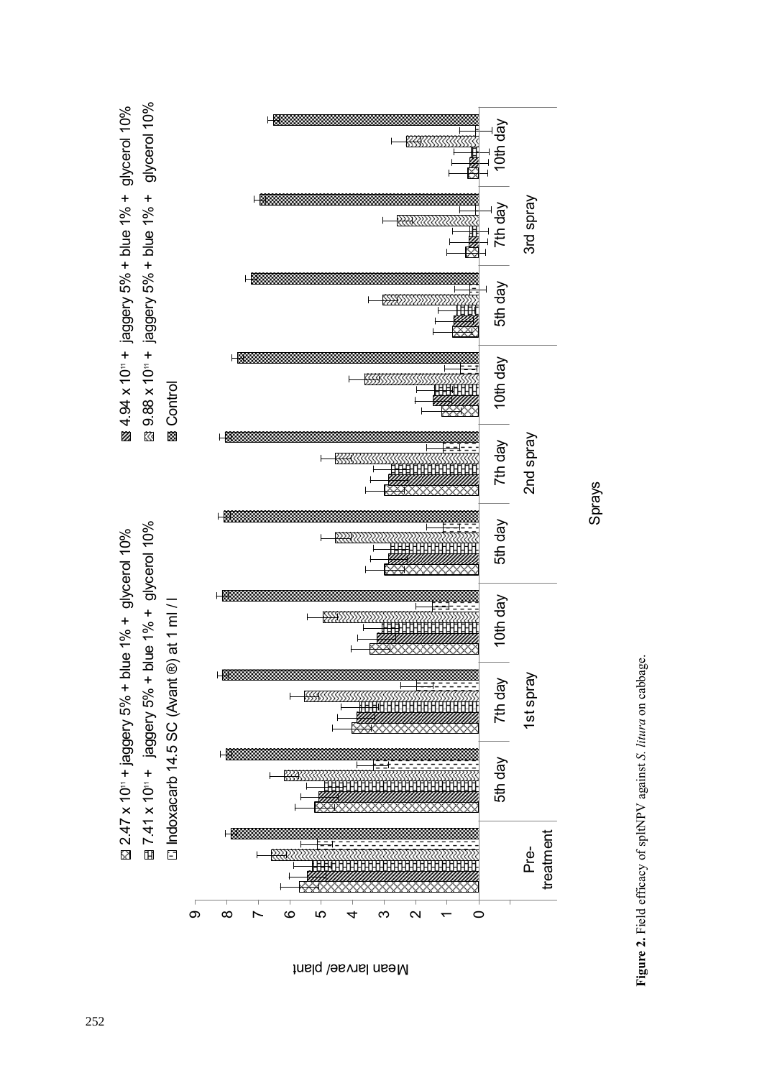

Mean larvae/ plant

**Figure 2.** Field efficacy of spltNPV against *S. litura* on cabbage. Figure 2. Field efficacy of spltNPV against S. litura on cabbage.

Sprays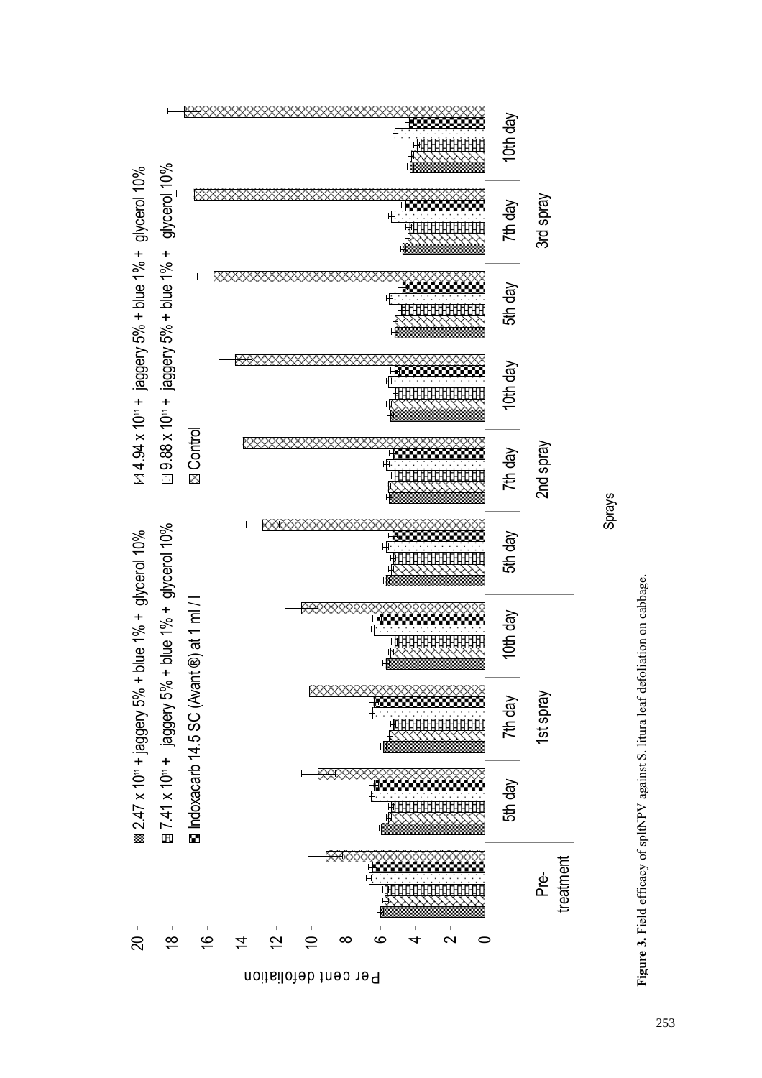

Per cent defoliation

**Figure 3.** Field efficacy of spltNPV against S. litura leaf defoliation on cabbage. Figure 3. Field efficacy of spltNPV against S. litura leaf defoliation on cabbage.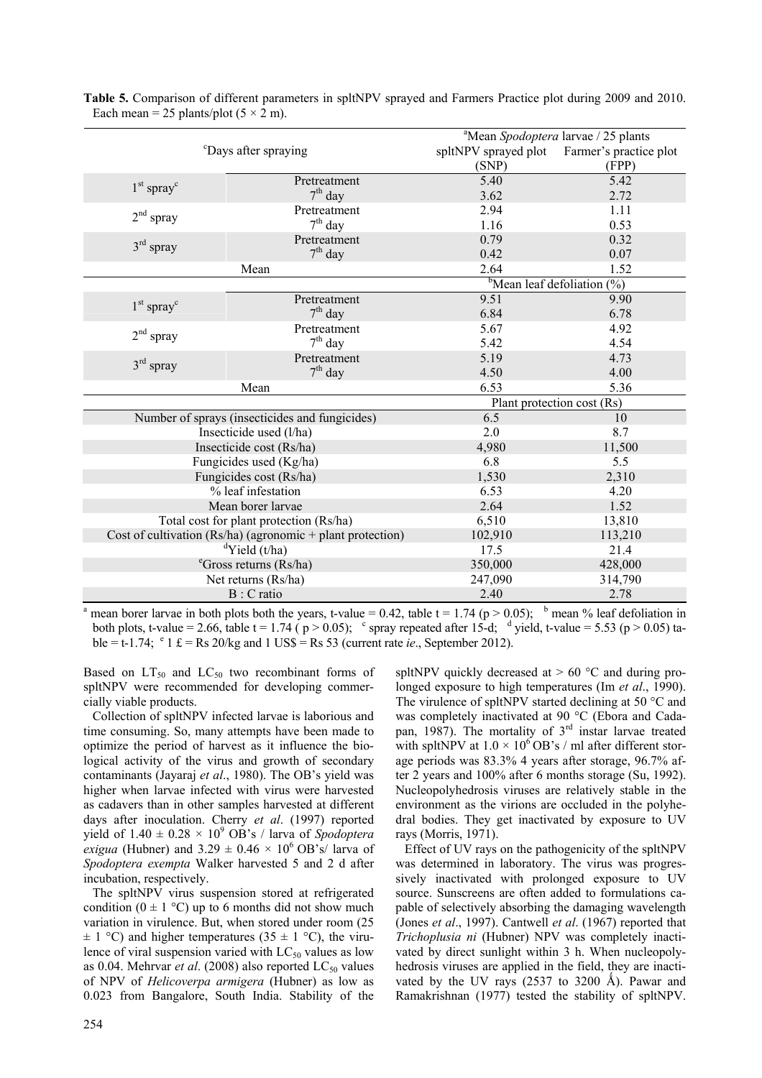|                                  |                                                            | <sup>a</sup> Mean Spodoptera larvae / 25 plants |                                           |  |
|----------------------------------|------------------------------------------------------------|-------------------------------------------------|-------------------------------------------|--|
| <sup>c</sup> Days after spraying |                                                            | spltNPV sprayed plot                            | Farmer's practice plot                    |  |
|                                  |                                                            | (SNP)                                           | (FPP)                                     |  |
|                                  | Pretreatment                                               | 5.40                                            | 5.42                                      |  |
| $1st$ spray <sup>c</sup>         | $7th$ day                                                  | 3.62                                            | 2.72                                      |  |
|                                  | Pretreatment                                               | 2.94                                            | 1.11                                      |  |
| $2nd$ spray                      | $7th$ day                                                  | 1.16                                            | 0.53                                      |  |
|                                  | Pretreatment                                               | 0.79                                            | 0.32                                      |  |
| $3rd$ spray                      | $7th$ day                                                  | 0.42                                            | 0.07                                      |  |
|                                  | Mean                                                       | 2.64                                            | 1.52                                      |  |
|                                  |                                                            |                                                 | <sup>b</sup> Mean leaf defoliation $(\%)$ |  |
| $1st$ spray <sup>c</sup>         | Pretreatment                                               | 9.51                                            | 9.90                                      |  |
|                                  | $7th$ day                                                  | 6.84                                            | 6.78                                      |  |
| $2nd$ spray                      | Pretreatment                                               | 5.67                                            | 4.92                                      |  |
|                                  | $7th$ day                                                  | 5.42                                            | 4.54                                      |  |
| $3rd$ spray                      | Pretreatment                                               | 5.19                                            | 4.73                                      |  |
|                                  | $7th$ day                                                  | 4.50                                            | 4.00                                      |  |
|                                  | Mean                                                       | 6.53                                            | 5.36                                      |  |
|                                  |                                                            | Plant protection cost (Rs)                      |                                           |  |
|                                  | Number of sprays (insecticides and fungicides)             | 6.5                                             | 10                                        |  |
|                                  | Insecticide used (l/ha)                                    | 2.0                                             | 8.7                                       |  |
|                                  | Insecticide cost (Rs/ha)                                   | 4,980                                           | 11,500                                    |  |
|                                  | Fungicides used (Kg/ha)                                    | 6.8                                             | 5.5                                       |  |
|                                  | Fungicides cost (Rs/ha)                                    | 1,530                                           | 2,310                                     |  |
|                                  | % leaf infestation                                         | 6.53                                            | 4.20                                      |  |
|                                  | Mean borer larvae                                          | 2.64                                            | 1.52                                      |  |
|                                  | Total cost for plant protection (Rs/ha)                    | 6,510                                           | 13,810                                    |  |
|                                  | Cost of cultivation (Rs/ha) (agronomic + plant protection) | 102,910                                         | 113,210                                   |  |
|                                  | $\mathrm{d}$ Yield (t/ha)                                  | 17.5                                            | 21.4                                      |  |
|                                  | <sup>e</sup> Gross returns (Rs/ha)                         | 350,000                                         | 428,000                                   |  |
|                                  | Net returns (Rs/ha)                                        | 247,090                                         | 314,790                                   |  |
|                                  | B : C ratio                                                | 2.40                                            | 2.78                                      |  |

**Table 5.** Comparison of different parameters in spltNPV sprayed and Farmers Practice plot during 2009 and 2010. Each mean = 25 plants/plot  $(5 \times 2 \text{ m})$ .

<sup>a</sup> mean borer larvae in both plots both the years, t-value = 0.42, table t = 1.74 ( $p > 0.05$ ); <sup>b</sup> mean % leaf defoliation in both plots, t-value = 2.66, table t = 1.74 ( $p > 0.05$ ); c spray repeated after 15-d; d yield, t-value = 5.53 ( $p > 0.05$ ) table = t-1.74;  $\degree$  1 £ = Rs 20/kg and 1 US\$ = Rs 53 (current rate *ie*., September 2012).

Based on  $LT_{50}$  and  $LC_{50}$  two recombinant forms of spltNPV were recommended for developing commercially viable products.

Collection of spltNPV infected larvae is laborious and time consuming. So, many attempts have been made to optimize the period of harvest as it influence the biological activity of the virus and growth of secondary contaminants (Jayaraj *et al*., 1980). The OB's yield was higher when larvae infected with virus were harvested as cadavers than in other samples harvested at different days after inoculation. Cherry *et al*. (1997) reported yield of  $1.40 \pm 0.28 \times 10^9$  OB's / larva of *Spodoptera exigua* (Hubner) and  $3.29 \pm 0.46 \times 10^6$  OB's/ larva of *Spodoptera exempta* Walker harvested 5 and 2 d after incubation, respectively.

The spltNPV virus suspension stored at refrigerated condition ( $0 \pm 1$  °C) up to 6 months did not show much variation in virulence. But, when stored under room (25  $\pm$  1 °C) and higher temperatures (35  $\pm$  1 °C), the virulence of viral suspension varied with  $LC_{50}$  values as low as 0.04. Mehrvar *et al.* (2008) also reported  $LC_{50}$  values of NPV of *Helicoverpa armigera* (Hubner) as low as 0.023 from Bangalore, South India. Stability of the spltNPV quickly decreased at  $> 60$  °C and during prolonged exposure to high temperatures (Im *et al*., 1990). The virulence of spltNPV started declining at 50 °C and was completely inactivated at 90 °C (Ebora and Cadapan, 1987). The mortality of  $3<sup>rd</sup>$  instar larvae treated with spltNPV at  $1.0 \times 10^6$  OB's / ml after different storage periods was 83.3% 4 years after storage, 96.7% after 2 years and 100% after 6 months storage (Su, 1992). Nucleopolyhedrosis viruses are relatively stable in the environment as the virions are occluded in the polyhedral bodies. They get inactivated by exposure to UV rays (Morris, 1971).

Effect of UV rays on the pathogenicity of the spltNPV was determined in laboratory. The virus was progressively inactivated with prolonged exposure to UV source. Sunscreens are often added to formulations capable of selectively absorbing the damaging wavelength (Jones *et al*., 1997). Cantwell *et al*. (1967) reported that *Trichoplusia ni* (Hubner) NPV was completely inactivated by direct sunlight within 3 h. When nucleopolyhedrosis viruses are applied in the field, they are inactivated by the UV rays  $(2537$  to  $3200$  Å). Pawar and Ramakrishnan (1977) tested the stability of spltNPV.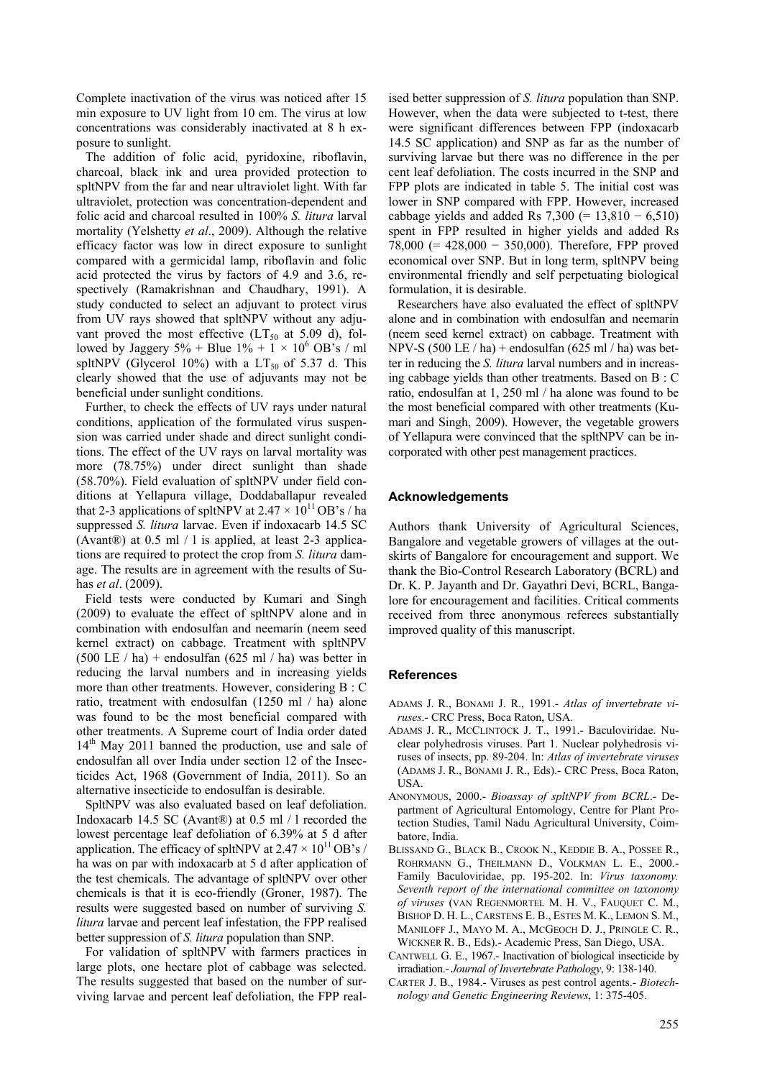Complete inactivation of the virus was noticed after 15 min exposure to UV light from 10 cm. The virus at low concentrations was considerably inactivated at 8 h exposure to sunlight.

The addition of folic acid, pyridoxine, riboflavin, charcoal, black ink and urea provided protection to spltNPV from the far and near ultraviolet light. With far ultraviolet, protection was concentration-dependent and folic acid and charcoal resulted in 100% *S. litura* larval mortality (Yelshetty *et al*., 2009). Although the relative efficacy factor was low in direct exposure to sunlight compared with a germicidal lamp, riboflavin and folic acid protected the virus by factors of 4.9 and 3.6, respectively (Ramakrishnan and Chaudhary, 1991). A study conducted to select an adjuvant to protect virus from UV rays showed that spltNPV without any adjuvant proved the most effective  $(LT_{50}$  at 5.09 d), followed by Jaggery  $5\%$  + Blue  $1\%$  +  $1 \times 10^6$  OB's / ml spltNPV (Glycerol 10%) with a  $LT_{50}$  of 5.37 d. This clearly showed that the use of adjuvants may not be beneficial under sunlight conditions.

Further, to check the effects of UV rays under natural conditions, application of the formulated virus suspension was carried under shade and direct sunlight conditions. The effect of the UV rays on larval mortality was more (78.75%) under direct sunlight than shade (58.70%). Field evaluation of spltNPV under field conditions at Yellapura village, Doddaballapur revealed that 2-3 applications of spltNPV at  $2.47 \times 10^{11}$  OB's / ha suppressed *S. litura* larvae. Even if indoxacarb 14.5 SC (Avant®) at 0.5 ml / l is applied, at least 2-3 applications are required to protect the crop from *S. litura* damage. The results are in agreement with the results of Suhas *et al*. (2009).

Field tests were conducted by Kumari and Singh (2009) to evaluate the effect of spltNPV alone and in combination with endosulfan and neemarin (neem seed kernel extract) on cabbage. Treatment with spltNPV  $(500 \text{ LE} / \text{ha})$  + endosulfan  $(625 \text{ ml} / \text{ha})$  was better in reducing the larval numbers and in increasing yields more than other treatments. However, considering B : C ratio, treatment with endosulfan (1250 ml / ha) alone was found to be the most beneficial compared with other treatments. A Supreme court of India order dated  $14<sup>th</sup>$  May 2011 banned the production, use and sale of endosulfan all over India under section 12 of the Insecticides Act, 1968 (Government of India, 2011). So an alternative insecticide to endosulfan is desirable.

SpltNPV was also evaluated based on leaf defoliation. Indoxacarb 14.5 SC (Avant®) at 0.5 ml / l recorded the lowest percentage leaf defoliation of 6.39% at 5 d after application. The efficacy of spltNPV at  $2.47 \times 10^{11}$  OB's / ha was on par with indoxacarb at 5 d after application of the test chemicals. The advantage of spltNPV over other chemicals is that it is eco-friendly (Groner, 1987). The results were suggested based on number of surviving *S. litura* larvae and percent leaf infestation, the FPP realised better suppression of *S. litura* population than SNP.

For validation of spltNPV with farmers practices in large plots, one hectare plot of cabbage was selected. The results suggested that based on the number of surviving larvae and percent leaf defoliation, the FPP real-

ised better suppression of *S. litura* population than SNP. However, when the data were subjected to t-test, there were significant differences between FPP (indoxacarb 14.5 SC application) and SNP as far as the number of surviving larvae but there was no difference in the per cent leaf defoliation. The costs incurred in the SNP and FPP plots are indicated in table 5. The initial cost was lower in SNP compared with FPP. However, increased cabbage yields and added Rs  $7,300 (= 13,810 - 6,510)$ spent in FPP resulted in higher yields and added Rs 78,000 (= 428,000 − 350,000). Therefore, FPP proved economical over SNP. But in long term, spltNPV being environmental friendly and self perpetuating biological formulation, it is desirable.

Researchers have also evaluated the effect of spltNPV alone and in combination with endosulfan and neemarin (neem seed kernel extract) on cabbage. Treatment with NPV-S  $(500 \text{ LE} / \text{ha})$  + endosulfan  $(625 \text{ ml} / \text{ha})$  was better in reducing the *S. litura* larval numbers and in increasing cabbage yields than other treatments. Based on B : C ratio, endosulfan at 1, 250 ml / ha alone was found to be the most beneficial compared with other treatments (Kumari and Singh, 2009). However, the vegetable growers of Yellapura were convinced that the spltNPV can be incorporated with other pest management practices.

## **Acknowledgements**

Authors thank University of Agricultural Sciences, Bangalore and vegetable growers of villages at the outskirts of Bangalore for encouragement and support. We thank the Bio-Control Research Laboratory (BCRL) and Dr. K. P. Jayanth and Dr. Gayathri Devi, BCRL, Bangalore for encouragement and facilities. Critical comments received from three anonymous referees substantially improved quality of this manuscript.

#### **References**

- ADAMS J. R., BONAMI J. R., 1991.- *Atlas of invertebrate viruses*.- CRC Press, Boca Raton, USA.
- ADAMS J. R., MCCLINTOCK J. T., 1991.- Baculoviridae. Nuclear polyhedrosis viruses. Part 1. Nuclear polyhedrosis viruses of insects, pp. 89-204. In: *Atlas of invertebrate viruses* (ADAMS J. R., BONAMI J. R., Eds).- CRC Press, Boca Raton, USA.
- ANONYMOUS, 2000.- *Bioassay of spltNPV from BCRL*.- Department of Agricultural Entomology, Centre for Plant Protection Studies, Tamil Nadu Agricultural University, Coimbatore, India.
- BLISSAND G., BLACK B., CROOK N., KEDDIE B. A., POSSEE R., ROHRMANN G., THEILMANN D., VOLKMAN L. E., 2000.- Family Baculoviridae, pp. 195-202. In: *Virus taxonomy. Seventh report of the international committee on taxonomy of viruses* (VAN REGENMORTEL M. H. V., FAUQUET C. M., BISHOP D. H. L., CARSTENS E. B., ESTES M. K., LEMON S. M., MANILOFF J., MAYO M. A., MCGEOCH D. J., PRINGLE C. R., WICKNER R. B., Eds).- Academic Press, San Diego, USA.
- CANTWELL G. E., 1967.- Inactivation of biological insecticide by irradiation.- *Journal of Invertebrate Pathology*, 9: 138-140.
- CARTER J. B., 1984.- Viruses as pest control agents.- *Biotechnology and Genetic Engineering Reviews*, 1: 375-405.